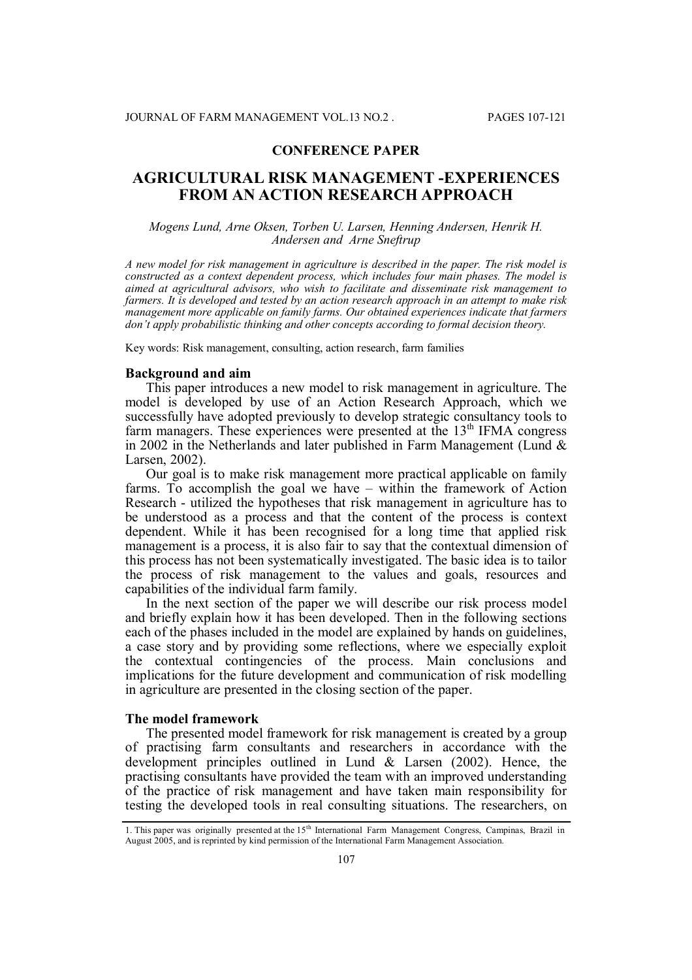# **CONFERENCE PAPER**

# **AGRICULTURAL RISK MANAGEMENT -EXPERIENCES FROM AN ACTION RESEARCH APPROACH**

### *Mogens Lund, Arne Oksen, Torben U. Larsen, Henning Andersen, Henrik H. Andersen and Arne Sneftrup*

*A new model for risk management in agriculture is described in the paper. The risk model is constructed as a context dependent process, which includes four main phases. The model is aimed at agricultural advisors, who wish to facilitate and disseminate risk management to farmers. It is developed and tested by an action research approach in an attempt to make risk management more applicable on family farms. Our obtained experiences indicate that farmers don't apply probabilistic thinking and other concepts according to formal decision theory.*

Key words: Risk management, consulting, action research, farm families

### **Background and aim**

This paper introduces a new model to risk management in agriculture. The model is developed by use of an Action Research Approach, which we successfully have adopted previously to develop strategic consultancy tools to farm managers. These experiences were presented at the 13<sup>th</sup> IFMA congress in 2002 in the Netherlands and later published in Farm Management (Lund  $\&$ Larsen, 2002).

Our goal is to make risk management more practical applicable on family farms. To accomplish the goal we have – within the framework of Action Research - utilized the hypotheses that risk management in agriculture has to be understood as a process and that the content of the process is context dependent. While it has been recognised for a long time that applied risk management is a process, it is also fair to say that the contextual dimension of this process has not been systematically investigated. The basic idea is to tailor the process of risk management to the values and goals, resources and capabilities of the individual farm family.

In the next section of the paper we will describe our risk process model and briefly explain how it has been developed. Then in the following sections each of the phases included in the model are explained by hands on guidelines, a case story and by providing some reflections, where we especially exploit the contextual contingencies of the process. Main conclusions and implications for the future development and communication of risk modelling in agriculture are presented in the closing section of the paper.

### **The model framework**

The presented model framework for risk management is created by a group of practising farm consultants and researchers in accordance with the development principles outlined in Lund & Larsen (2002). Hence, the practising consultants have provided the team with an improved understanding of the practice of risk management and have taken main responsibility for testing the developed tools in real consulting situations. The researchers, on

<sup>1.</sup> This paper was originally presented at the 15<sup>th</sup> International Farm Management Congress, Campinas, Brazil in August 2005, and is reprinted by kind permission of the International Farm Management Association.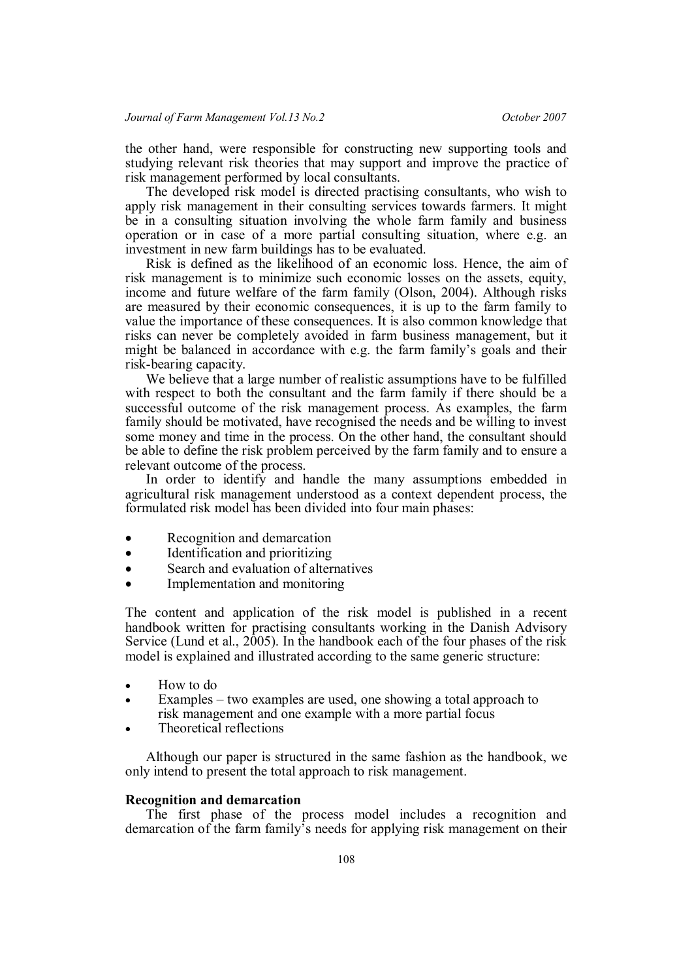the other hand, were responsible for constructing new supporting tools and studying relevant risk theories that may support and improve the practice of risk management performed by local consultants.

The developed risk model is directed practising consultants, who wish to apply risk management in their consulting services towards farmers. It might be in a consulting situation involving the whole farm family and business operation or in case of a more partial consulting situation, where e.g. an investment in new farm buildings has to be evaluated.

Risk is defined as the likelihood of an economic loss. Hence, the aim of risk management is to minimize such economic losses on the assets, equity, income and future welfare of the farm family (Olson, 2004). Although risks are measured by their economic consequences, it is up to the farm family to value the importance of these consequences. It is also common knowledge that risks can never be completely avoided in farm business management, but it might be balanced in accordance with e.g. the farm family's goals and their risk-bearing capacity.

We believe that a large number of realistic assumptions have to be fulfilled with respect to both the consultant and the farm family if there should be a successful outcome of the risk management process. As examples, the farm family should be motivated, have recognised the needs and be willing to invest some money and time in the process. On the other hand, the consultant should be able to define the risk problem perceived by the farm family and to ensure a relevant outcome of the process.

In order to identify and handle the many assumptions embedded in agricultural risk management understood as a context dependent process, the formulated risk model has been divided into four main phases:

- Recognition and demarcation
- Identification and prioritizing
- Search and evaluation of alternatives
- Implementation and monitoring

The content and application of the risk model is published in a recent handbook written for practising consultants working in the Danish Advisory Service (Lund et al., 2005). In the handbook each of the four phases of the risk model is explained and illustrated according to the same generic structure:

- How to do
- Examples two examples are used, one showing a total approach to risk management and one example with a more partial focus
- Theoretical reflections

Although our paper is structured in the same fashion as the handbook, we only intend to present the total approach to risk management.

# **Recognition and demarcation**

The first phase of the process model includes a recognition and demarcation of the farm family's needs for applying risk management on their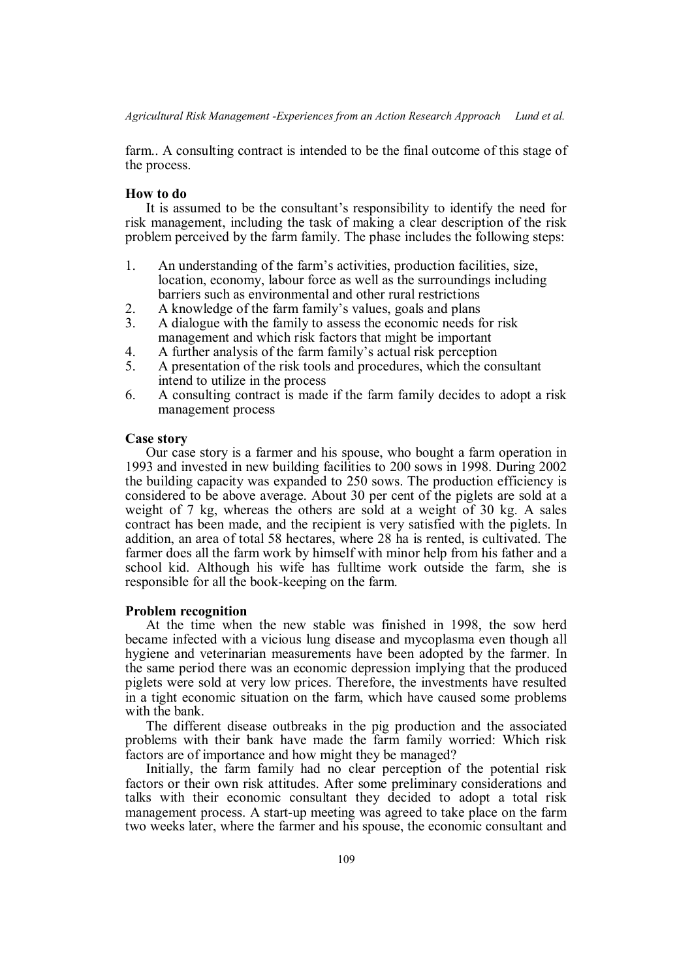farm.. A consulting contract is intended to be the final outcome of this stage of the process.

# **How to do**

It is assumed to be the consultant's responsibility to identify the need for risk management, including the task of making a clear description of the risk problem perceived by the farm family. The phase includes the following steps:

- 1. An understanding of the farm's activities, production facilities, size, location, economy, labour force as well as the surroundings including barriers such as environmental and other rural restrictions
- 2. A knowledge of the farm family's values, goals and plans
- 3. A dialogue with the family to assess the economic needs for risk management and which risk factors that might be important
- 4. A further analysis of the farm family's actual risk perception
- 5. A presentation of the risk tools and procedures, which the consultant intend to utilize in the process
- 6. A consulting contract is made if the farm family decides to adopt a risk management process

#### **Case story**

Our case story is a farmer and his spouse, who bought a farm operation in 1993 and invested in new building facilities to 200 sows in 1998. During 2002 the building capacity was expanded to 250 sows. The production efficiency is considered to be above average. About 30 per cent of the piglets are sold at a weight of 7 kg, whereas the others are sold at a weight of 30 kg. A sales contract has been made, and the recipient is very satisfied with the piglets. In addition, an area of total 58 hectares, where 28 ha is rented, is cultivated. The farmer does all the farm work by himself with minor help from his father and a school kid. Although his wife has fulltime work outside the farm, she is responsible for all the book-keeping on the farm.

#### **Problem recognition**

At the time when the new stable was finished in 1998, the sow herd became infected with a vicious lung disease and mycoplasma even though all hygiene and veterinarian measurements have been adopted by the farmer. In the same period there was an economic depression implying that the produced piglets were sold at very low prices. Therefore, the investments have resulted in a tight economic situation on the farm, which have caused some problems with the bank.

The different disease outbreaks in the pig production and the associated problems with their bank have made the farm family worried: Which risk factors are of importance and how might they be managed?

Initially, the farm family had no clear perception of the potential risk factors or their own risk attitudes. After some preliminary considerations and talks with their economic consultant they decided to adopt a total risk management process. A start-up meeting was agreed to take place on the farm two weeks later, where the farmer and his spouse, the economic consultant and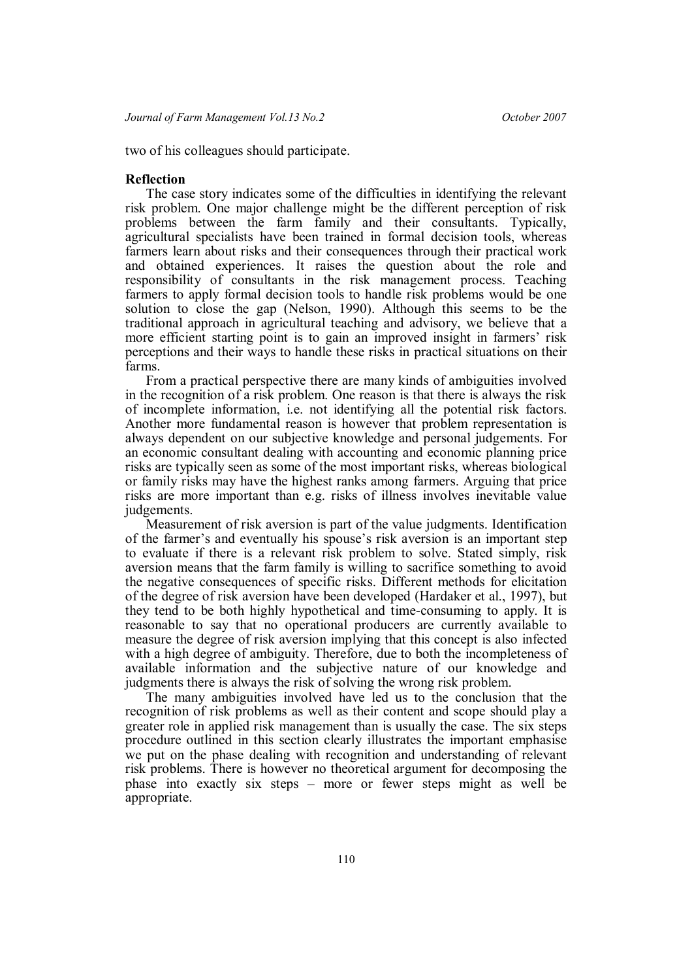two of his colleagues should participate.

### **Reflection**

The case story indicates some of the difficulties in identifying the relevant risk problem. One major challenge might be the different perception of risk problems between the farm family and their consultants. Typically, agricultural specialists have been trained in formal decision tools, whereas farmers learn about risks and their consequences through their practical work and obtained experiences. It raises the question about the role and responsibility of consultants in the risk management process. Teaching farmers to apply formal decision tools to handle risk problems would be one solution to close the gap (Nelson, 1990). Although this seems to be the traditional approach in agricultural teaching and advisory, we believe that a more efficient starting point is to gain an improved insight in farmers' risk perceptions and their ways to handle these risks in practical situations on their farms.

From a practical perspective there are many kinds of ambiguities involved in the recognition of a risk problem. One reason is that there is always the risk of incomplete information, i.e. not identifying all the potential risk factors. Another more fundamental reason is however that problem representation is always dependent on our subjective knowledge and personal judgements. For an economic consultant dealing with accounting and economic planning price risks are typically seen as some of the most important risks, whereas biological or family risks may have the highest ranks among farmers. Arguing that price risks are more important than e.g. risks of illness involves inevitable value judgements.

Measurement of risk aversion is part of the value judgments. Identification of the farmer's and eventually his spouse's risk aversion is an important step to evaluate if there is a relevant risk problem to solve. Stated simply, risk aversion means that the farm family is willing to sacrifice something to avoid the negative consequences of specific risks. Different methods for elicitation of the degree of risk aversion have been developed (Hardaker et al., 1997), but they tend to be both highly hypothetical and time-consuming to apply. It is reasonable to say that no operational producers are currently available to measure the degree of risk aversion implying that this concept is also infected with a high degree of ambiguity. Therefore, due to both the incompleteness of available information and the subjective nature of our knowledge and judgments there is always the risk of solving the wrong risk problem.

The many ambiguities involved have led us to the conclusion that the recognition of risk problems as well as their content and scope should play a greater role in applied risk management than is usually the case. The six steps procedure outlined in this section clearly illustrates the important emphasise we put on the phase dealing with recognition and understanding of relevant risk problems. There is however no theoretical argument for decomposing the phase into exactly six steps – more or fewer steps might as well be appropriate.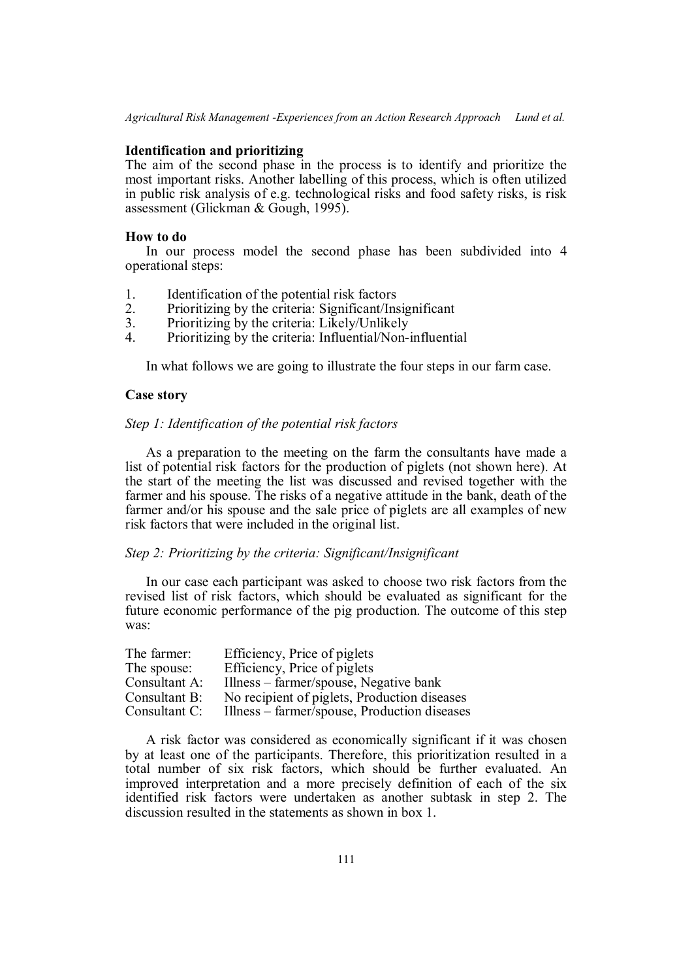# **Identification and prioritizing**

The aim of the second phase in the process is to identify and prioritize the most important risks. Another labelling of this process, which is often utilized in public risk analysis of e.g. technological risks and food safety risks, is risk assessment (Glickman & Gough, 1995).

### **How to do**

In our process model the second phase has been subdivided into 4 operational steps:

- 1. Identification of the potential risk factors
- 2. Prioritizing by the criteria: Significant/Insignificant
- 3. Prioritizing by the criteria: Likely/Unlikely<br>4 Prioritizing by the criteria: Influential/Non-
- 4. Prioritizing by the criteria: Influential/Non-influential

In what follows we are going to illustrate the four steps in our farm case.

### **Case story**

### *Step 1: Identification of the potential risk factors*

As a preparation to the meeting on the farm the consultants have made a list of potential risk factors for the production of piglets (not shown here). At the start of the meeting the list was discussed and revised together with the farmer and his spouse. The risks of a negative attitude in the bank, death of the farmer and/or his spouse and the sale price of piglets are all examples of new risk factors that were included in the original list.

# *Step 2: Prioritizing by the criteria: Significant/Insignificant*

In our case each participant was asked to choose two risk factors from the revised list of risk factors, which should be evaluated as significant for the future economic performance of the pig production. The outcome of this step was:

| The farmer:   | Efficiency, Price of piglets                 |
|---------------|----------------------------------------------|
| The spouse:   | Efficiency, Price of piglets                 |
| Consultant A: | Illness – farmer/spouse, Negative bank       |
| Consultant B: | No recipient of piglets, Production diseases |
| Consultant C: | Illness – farmer/spouse, Production diseases |

A risk factor was considered as economically significant if it was chosen by at least one of the participants. Therefore, this prioritization resulted in a total number of six risk factors, which should be further evaluated. An improved interpretation and a more precisely definition of each of the six identified risk factors were undertaken as another subtask in step 2. The discussion resulted in the statements as shown in box 1.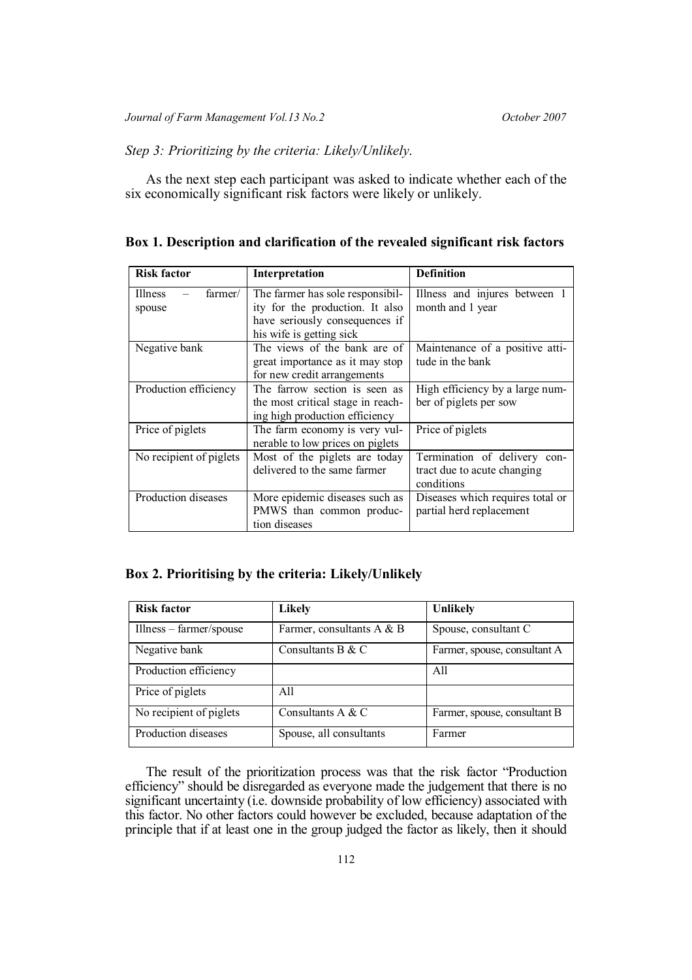# *Step 3: Prioritizing by the criteria: Likely/Unlikely*.

As the next step each participant was asked to indicate whether each of the six economically significant risk factors were likely or unlikely.

# **Box 1. Description and clarification of the revealed significant risk factors**

| <b>Risk factor</b>                  | Interpretation                                                                                                                    | <b>Definition</b>                                                         |  |  |
|-------------------------------------|-----------------------------------------------------------------------------------------------------------------------------------|---------------------------------------------------------------------------|--|--|
| farmer/<br><b>Illness</b><br>spouse | The farmer has sole responsibil-<br>ity for the production. It also<br>have seriously consequences if<br>his wife is getting sick | Illness and injures between 1<br>month and 1 year                         |  |  |
| Negative bank                       | The views of the bank are of<br>great importance as it may stop<br>for new credit arrangements                                    | Maintenance of a positive atti-<br>tude in the bank                       |  |  |
| Production efficiency               | The farrow section is seen as<br>the most critical stage in reach-<br>ing high production efficiency                              | High efficiency by a large num-<br>ber of piglets per sow                 |  |  |
| Price of piglets                    | The farm economy is very vul-<br>nerable to low prices on piglets                                                                 | Price of piglets                                                          |  |  |
| No recipient of piglets             | Most of the piglets are today<br>delivered to the same farmer                                                                     | Termination of delivery con-<br>tract due to acute changing<br>conditions |  |  |
| Production diseases                 | More epidemic diseases such as<br>PMWS than common produc-<br>tion diseases                                                       | Diseases which requires total or<br>partial herd replacement              |  |  |

# **Box 2. Prioritising by the criteria: Likely/Unlikely**

| <b>Risk factor</b>      | <b>Likely</b>             | <b>Unlikely</b>              |
|-------------------------|---------------------------|------------------------------|
| Illness – farmer/spouse | Farmer, consultants A & B | Spouse, consultant C         |
| Negative bank           | Consultants B $&$ C       | Farmer, spouse, consultant A |
| Production efficiency   |                           | A11                          |
| Price of piglets        | A11                       |                              |
| No recipient of piglets | Consultants A & C         | Farmer, spouse, consultant B |
| Production diseases     | Spouse, all consultants   | Farmer                       |

The result of the prioritization process was that the risk factor "Production efficiency" should be disregarded as everyone made the judgement that there is no significant uncertainty (i.e. downside probability of low efficiency) associated with this factor. No other factors could however be excluded, because adaptation of the principle that if at least one in the group judged the factor as likely, then it should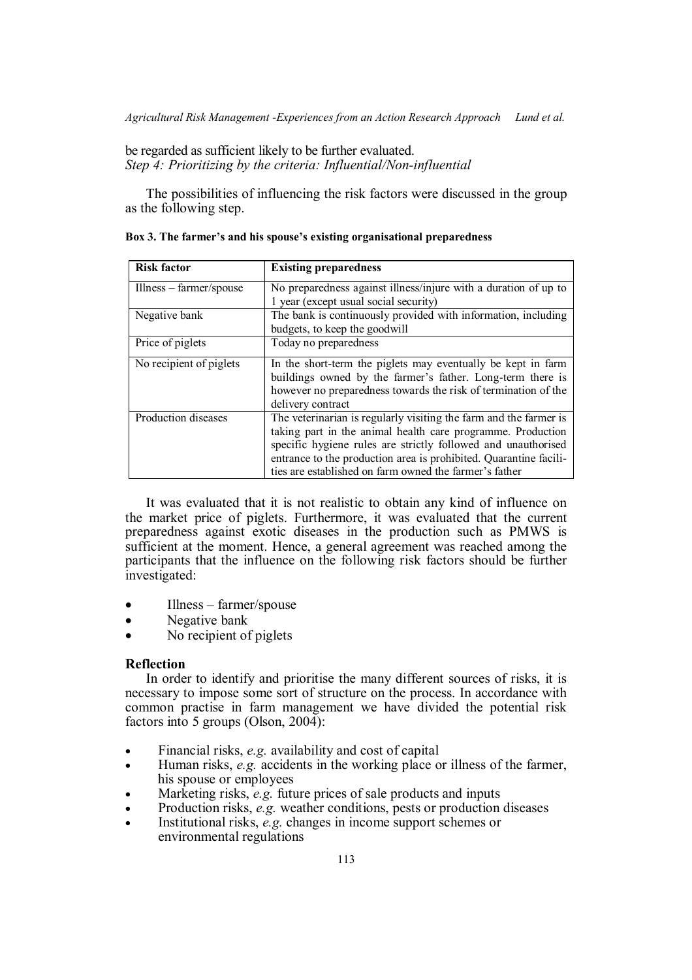be regarded as sufficient likely to be further evaluated. *Step 4: Prioritizing by the criteria: Influential/Non-influential*

The possibilities of influencing the risk factors were discussed in the group as the following step.

| <b>Risk factor</b>       | <b>Existing preparedness</b>                                                                                                                                                                                                                                                                                                     |  |  |  |
|--------------------------|----------------------------------------------------------------------------------------------------------------------------------------------------------------------------------------------------------------------------------------------------------------------------------------------------------------------------------|--|--|--|
| $Ilness - farmer/spouse$ | No preparedness against illness/injure with a duration of up to<br>1 year (except usual social security)                                                                                                                                                                                                                         |  |  |  |
| Negative bank            | The bank is continuously provided with information, including<br>budgets, to keep the goodwill                                                                                                                                                                                                                                   |  |  |  |
| Price of piglets         | Today no preparedness                                                                                                                                                                                                                                                                                                            |  |  |  |
| No recipient of piglets  | In the short-term the piglets may eventually be kept in farm<br>buildings owned by the farmer's father. Long-term there is<br>however no preparedness towards the risk of termination of the<br>delivery contract                                                                                                                |  |  |  |
| Production diseases      | The veterinarian is regularly visiting the farm and the farmer is<br>taking part in the animal health care programme. Production<br>specific hygiene rules are strictly followed and unauthorised<br>entrance to the production area is prohibited. Quarantine facili-<br>ties are established on farm owned the farmer's father |  |  |  |

**Box 3. The farmer's and his spouse's existing organisational preparedness**

It was evaluated that it is not realistic to obtain any kind of influence on the market price of piglets. Furthermore, it was evaluated that the current preparedness against exotic diseases in the production such as PMWS is sufficient at the moment. Hence, a general agreement was reached among the participants that the influence on the following risk factors should be further investigated:

- Illness farmer/spouse
- Negative bank
- No recipient of piglets

# **Reflection**

In order to identify and prioritise the many different sources of risks, it is necessary to impose some sort of structure on the process. In accordance with common practise in farm management we have divided the potential risk factors into 5 groups (Olson, 2004):

- Financial risks, *e.g.* availability and cost of capital
- Human risks, *e.g.* accidents in the working place or illness of the farmer, his spouse or employees
- Marketing risks, *e.g.* future prices of sale products and inputs
- Production risks, *e.g.* weather conditions, pests or production diseases
- Institutional risks, *e.g.* changes in income support schemes or environmental regulations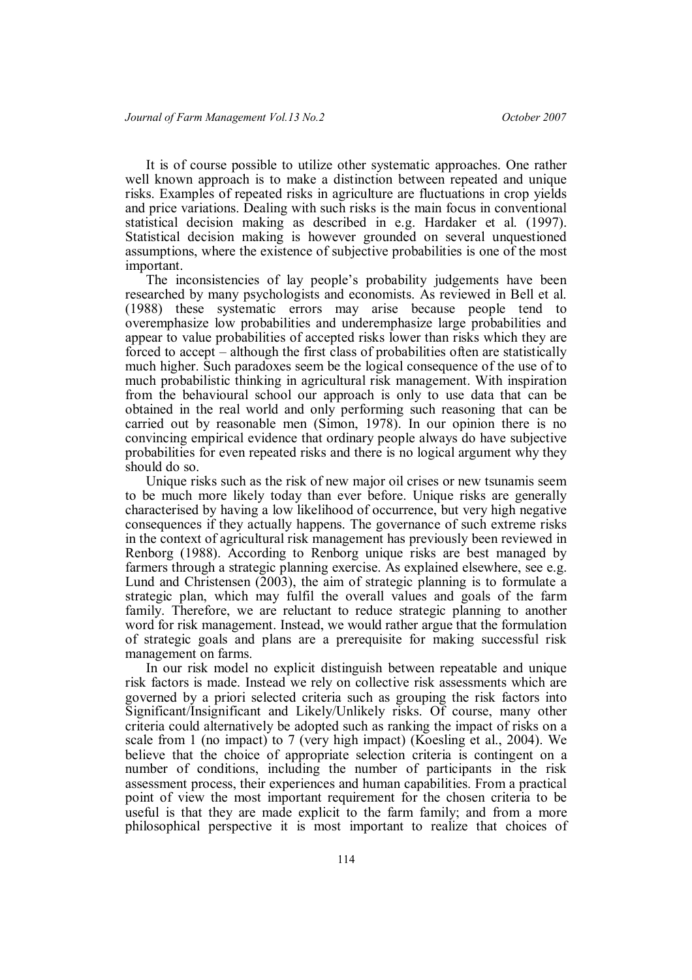It is of course possible to utilize other systematic approaches. One rather well known approach is to make a distinction between repeated and unique risks. Examples of repeated risks in agriculture are fluctuations in crop yields and price variations. Dealing with such risks is the main focus in conventional statistical decision making as described in e.g. Hardaker et al. (1997). Statistical decision making is however grounded on several unquestioned assumptions, where the existence of subjective probabilities is one of the most important.

The inconsistencies of lay people's probability judgements have been researched by many psychologists and economists. As reviewed in Bell et al. (1988) these systematic errors may arise because people tend to overemphasize low probabilities and underemphasize large probabilities and appear to value probabilities of accepted risks lower than risks which they are forced to accept – although the first class of probabilities often are statistically much higher. Such paradoxes seem be the logical consequence of the use of to much probabilistic thinking in agricultural risk management. With inspiration from the behavioural school our approach is only to use data that can be obtained in the real world and only performing such reasoning that can be carried out by reasonable men (Simon, 1978). In our opinion there is no convincing empirical evidence that ordinary people always do have subjective probabilities for even repeated risks and there is no logical argument why they should do so.

Unique risks such as the risk of new major oil crises or new tsunamis seem to be much more likely today than ever before. Unique risks are generally characterised by having a low likelihood of occurrence, but very high negative consequences if they actually happens. The governance of such extreme risks in the context of agricultural risk management has previously been reviewed in Renborg (1988). According to Renborg unique risks are best managed by farmers through a strategic planning exercise. As explained elsewhere, see e.g. Lund and Christensen (2003), the aim of strategic planning is to formulate a strategic plan, which may fulfil the overall values and goals of the farm family. Therefore, we are reluctant to reduce strategic planning to another word for risk management. Instead, we would rather argue that the formulation of strategic goals and plans are a prerequisite for making successful risk management on farms.

In our risk model no explicit distinguish between repeatable and unique risk factors is made. Instead we rely on collective risk assessments which are governed by a priori selected criteria such as grouping the risk factors into Significant/Insignificant and Likely/Unlikely risks. Of course, many other criteria could alternatively be adopted such as ranking the impact of risks on a scale from 1 (no impact) to 7 (very high impact) (Koesling et al., 2004). We believe that the choice of appropriate selection criteria is contingent on a number of conditions, including the number of participants in the risk assessment process, their experiences and human capabilities. From a practical point of view the most important requirement for the chosen criteria to be useful is that they are made explicit to the farm family; and from a more philosophical perspective it is most important to realize that choices of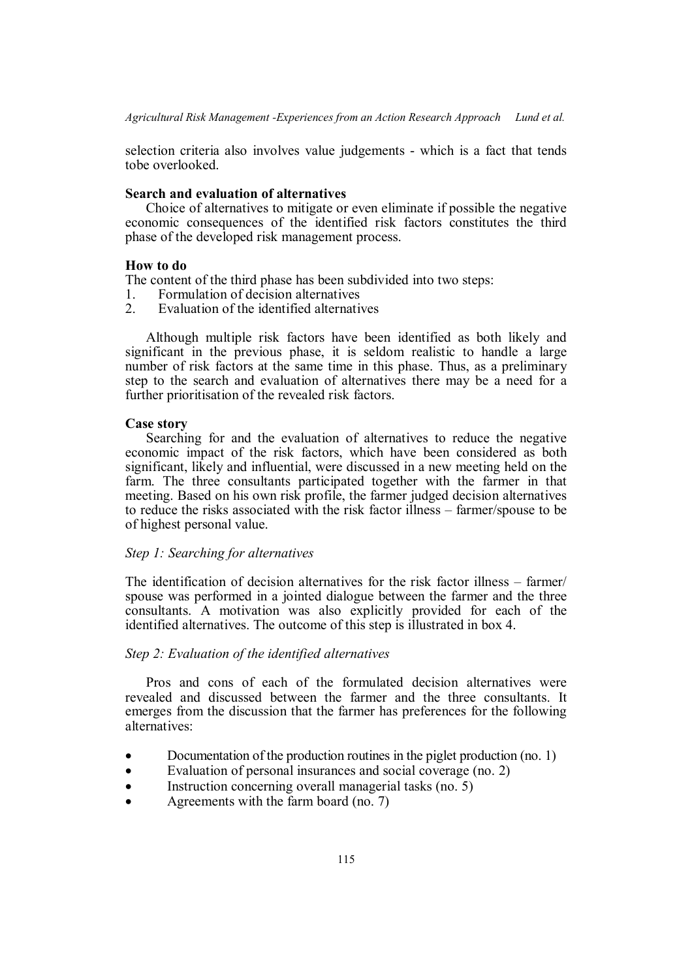selection criteria also involves value judgements - which is a fact that tends tobe overlooked.

# **Search and evaluation of alternatives**

Choice of alternatives to mitigate or even eliminate if possible the negative economic consequences of the identified risk factors constitutes the third phase of the developed risk management process.

### **How to do**

The content of the third phase has been subdivided into two steps:

- 1. Formulation of decision alternatives
- 2. Evaluation of the identified alternatives

Although multiple risk factors have been identified as both likely and significant in the previous phase, it is seldom realistic to handle a large number of risk factors at the same time in this phase. Thus, as a preliminary step to the search and evaluation of alternatives there may be a need for a further prioritisation of the revealed risk factors.

### **Case story**

Searching for and the evaluation of alternatives to reduce the negative economic impact of the risk factors, which have been considered as both significant, likely and influential, were discussed in a new meeting held on the farm. The three consultants participated together with the farmer in that meeting. Based on his own risk profile, the farmer judged decision alternatives to reduce the risks associated with the risk factor illness – farmer/spouse to be of highest personal value.

# *Step 1: Searching for alternatives*

The identification of decision alternatives for the risk factor illness – farmer/ spouse was performed in a jointed dialogue between the farmer and the three consultants. A motivation was also explicitly provided for each of the identified alternatives. The outcome of this step is illustrated in box 4.

### *Step 2: Evaluation of the identified alternatives*

Pros and cons of each of the formulated decision alternatives were revealed and discussed between the farmer and the three consultants. It emerges from the discussion that the farmer has preferences for the following alternatives:

- Documentation of the production routines in the piglet production (no. 1)
- Evaluation of personal insurances and social coverage (no. 2)
- Instruction concerning overall managerial tasks (no. 5)
- Agreements with the farm board (no. 7)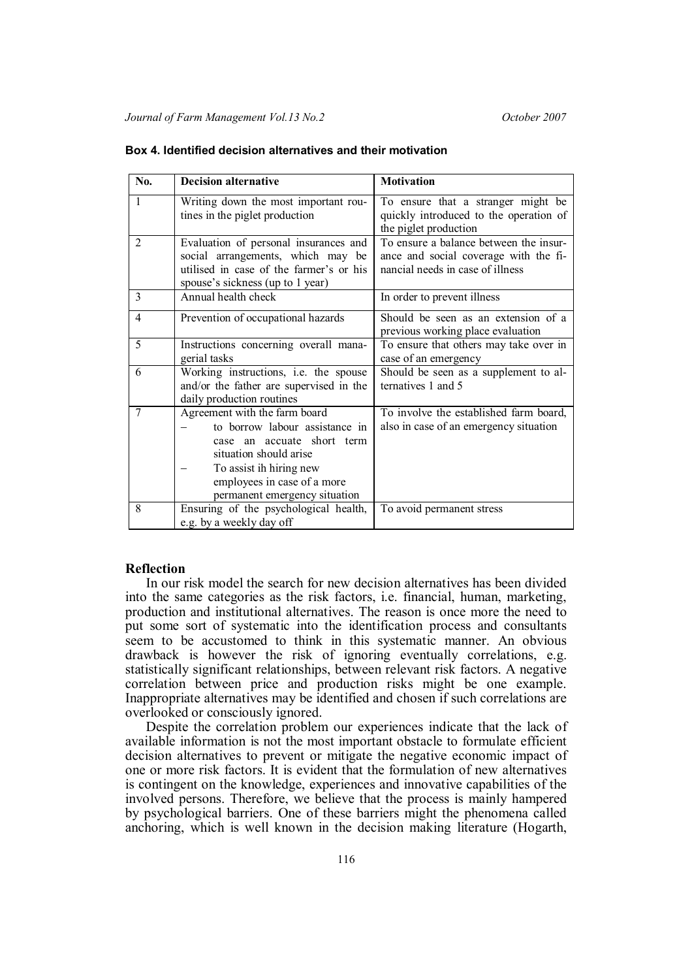| No.            | <b>Decision alternative</b>                                                                                                                                                                                        | <b>Motivation</b>                                                                                                   |
|----------------|--------------------------------------------------------------------------------------------------------------------------------------------------------------------------------------------------------------------|---------------------------------------------------------------------------------------------------------------------|
| $\mathbf{1}$   | Writing down the most important rou-<br>tines in the piglet production                                                                                                                                             | To ensure that a stranger might be<br>quickly introduced to the operation of<br>the piglet production               |
| $\overline{2}$ | Evaluation of personal insurances and<br>social arrangements, which may be<br>utilised in case of the farmer's or his<br>spouse's sickness (up to 1 year)                                                          | To ensure a balance between the insur-<br>ance and social coverage with the fi-<br>nancial needs in case of illness |
| 3              | Annual health check                                                                                                                                                                                                | In order to prevent illness                                                                                         |
| $\overline{4}$ | Prevention of occupational hazards                                                                                                                                                                                 | Should be seen as an extension of a<br>previous working place evaluation                                            |
| 5              | Instructions concerning overall mana-<br>gerial tasks                                                                                                                                                              | To ensure that others may take over in<br>case of an emergency                                                      |
| 6              | Working instructions, i.e. the spouse<br>and/or the father are supervised in the<br>daily production routines                                                                                                      | Should be seen as a supplement to al-<br>ternatives 1 and 5                                                         |
| 7              | Agreement with the farm board<br>to borrow labour assistance in<br>case an accuate short term<br>situation should arise<br>To assist ih hiring new<br>employees in case of a more<br>permanent emergency situation | To involve the established farm board,<br>also in case of an emergency situation                                    |
| 8              | Ensuring of the psychological health,<br>e.g. by a weekly day off                                                                                                                                                  | To avoid permanent stress                                                                                           |

#### **Box 4. Identified decision alternatives and their motivation**

### **Reflection**

In our risk model the search for new decision alternatives has been divided into the same categories as the risk factors, i.e. financial, human, marketing, production and institutional alternatives. The reason is once more the need to put some sort of systematic into the identification process and consultants seem to be accustomed to think in this systematic manner. An obvious drawback is however the risk of ignoring eventually correlations, e.g. statistically significant relationships, between relevant risk factors. A negative correlation between price and production risks might be one example. Inappropriate alternatives may be identified and chosen if such correlations are overlooked or consciously ignored.

Despite the correlation problem our experiences indicate that the lack of available information is not the most important obstacle to formulate efficient decision alternatives to prevent or mitigate the negative economic impact of one or more risk factors. It is evident that the formulation of new alternatives is contingent on the knowledge, experiences and innovative capabilities of the involved persons. Therefore, we believe that the process is mainly hampered by psychological barriers. One of these barriers might the phenomena called anchoring, which is well known in the decision making literature (Hogarth,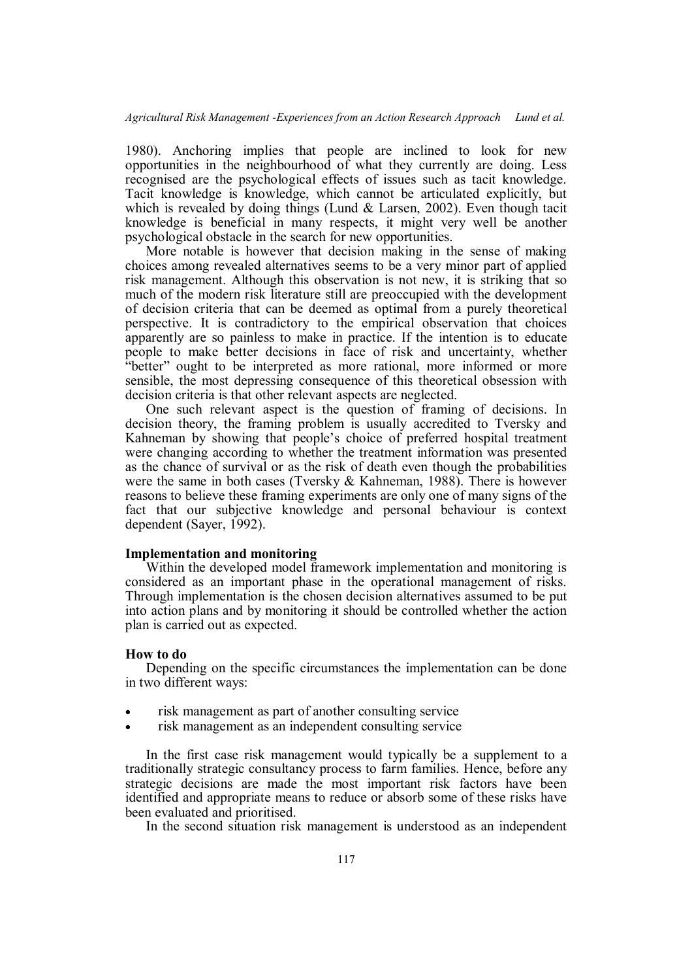1980). Anchoring implies that people are inclined to look for new opportunities in the neighbourhood of what they currently are doing. Less recognised are the psychological effects of issues such as tacit knowledge. Tacit knowledge is knowledge, which cannot be articulated explicitly, but which is revealed by doing things (Lund  $\&$  Larsen, 2002). Even though tacit knowledge is beneficial in many respects, it might very well be another psychological obstacle in the search for new opportunities.

More notable is however that decision making in the sense of making choices among revealed alternatives seems to be a very minor part of applied risk management. Although this observation is not new, it is striking that so much of the modern risk literature still are preoccupied with the development of decision criteria that can be deemed as optimal from a purely theoretical perspective. It is contradictory to the empirical observation that choices apparently are so painless to make in practice. If the intention is to educate people to make better decisions in face of risk and uncertainty, whether "better" ought to be interpreted as more rational, more informed or more sensible, the most depressing consequence of this theoretical obsession with decision criteria is that other relevant aspects are neglected.

One such relevant aspect is the question of framing of decisions. In decision theory, the framing problem is usually accredited to Tversky and Kahneman by showing that people's choice of preferred hospital treatment were changing according to whether the treatment information was presented as the chance of survival or as the risk of death even though the probabilities were the same in both cases (Tversky & Kahneman, 1988). There is however reasons to believe these framing experiments are only one of many signs of the fact that our subjective knowledge and personal behaviour is context dependent (Sayer, 1992).

# **Implementation and monitoring**

Within the developed model framework implementation and monitoring is considered as an important phase in the operational management of risks. Through implementation is the chosen decision alternatives assumed to be put into action plans and by monitoring it should be controlled whether the action plan is carried out as expected.

#### **How to do**

Depending on the specific circumstances the implementation can be done in two different ways:

- risk management as part of another consulting service
- risk management as an independent consulting service

In the first case risk management would typically be a supplement to a traditionally strategic consultancy process to farm families. Hence, before any strategic decisions are made the most important risk factors have been identified and appropriate means to reduce or absorb some of these risks have been evaluated and prioritised.

In the second situation risk management is understood as an independent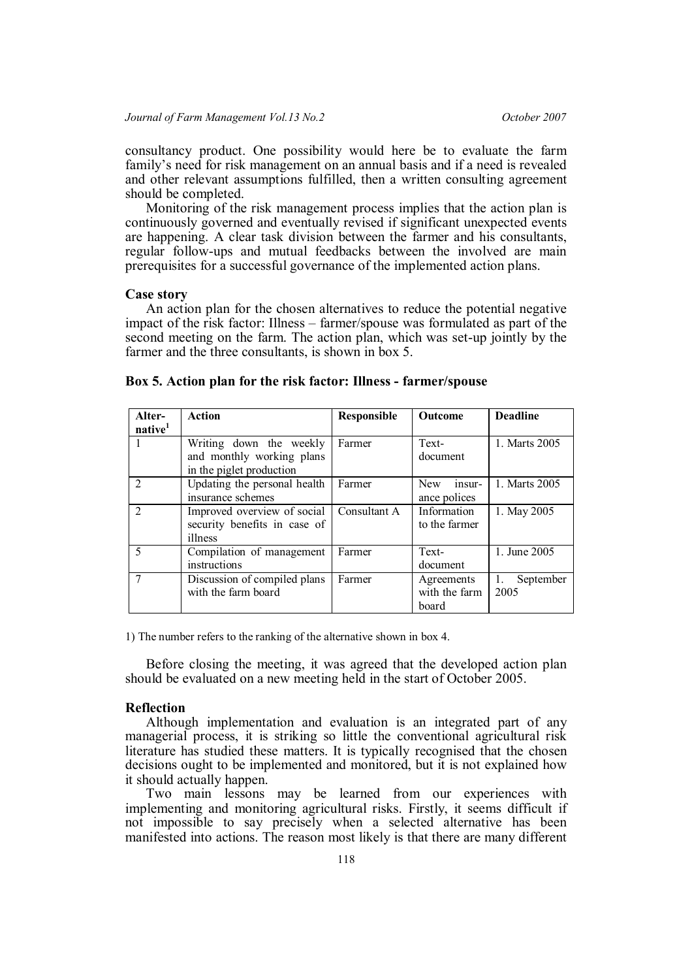consultancy product. One possibility would here be to evaluate the farm family's need for risk management on an annual basis and if a need is revealed and other relevant assumptions fulfilled, then a written consulting agreement should be completed.

Monitoring of the risk management process implies that the action plan is continuously governed and eventually revised if significant unexpected events are happening. A clear task division between the farmer and his consultants, regular follow-ups and mutual feedbacks between the involved are main prerequisites for a successful governance of the implemented action plans.

### **Case story**

An action plan for the chosen alternatives to reduce the potential negative impact of the risk factor: Illness – farmer/spouse was formulated as part of the second meeting on the farm. The action plan, which was set-up jointly by the farmer and the three consultants, is shown in box 5.

| Alter-                      | Action                       | <b>Responsible</b> | <b>Outcome</b>       | <b>Deadline</b>                   |
|-----------------------------|------------------------------|--------------------|----------------------|-----------------------------------|
| native <sup>1</sup>         |                              |                    |                      |                                   |
|                             | Writing down the weekly      | Farmer             | Text-                | 1. Marts 2005                     |
|                             | and monthly working plans    |                    | document             |                                   |
|                             | in the piglet production     |                    |                      |                                   |
| $\mathcal{D}_{\mathcal{L}}$ | Updating the personal health | Farmer             | <b>New</b><br>insur- | 1. Marts 2005                     |
|                             | insurance schemes            |                    | ance polices         |                                   |
| $\mathcal{D}_{\mathcal{L}}$ | Improved overview of social  | Consultant A       | Information          | 1. May 2005                       |
|                             | security benefits in case of |                    | to the farmer        |                                   |
|                             | illness                      |                    |                      |                                   |
| 5                           | Compilation of management    | Farmer             | Text-                | 1. June 2005                      |
|                             | instructions                 |                    | document             |                                   |
| 7                           | Discussion of compiled plans | Farmer             | Agreements           | September<br>$\mathbf{1}_{\cdot}$ |
|                             | with the farm board          |                    | with the farm        | 2005                              |
|                             |                              |                    | board                |                                   |

|  |  |  |  |  |  |  |  | Box 5. Action plan for the risk factor: Illness - farmer/spouse |  |
|--|--|--|--|--|--|--|--|-----------------------------------------------------------------|--|
|--|--|--|--|--|--|--|--|-----------------------------------------------------------------|--|

1) The number refers to the ranking of the alternative shown in box 4.

Before closing the meeting, it was agreed that the developed action plan should be evaluated on a new meeting held in the start of October 2005.

### **Reflection**

Although implementation and evaluation is an integrated part of any managerial process, it is striking so little the conventional agricultural risk literature has studied these matters. It is typically recognised that the chosen decisions ought to be implemented and monitored, but it is not explained how it should actually happen.

Two main lessons may be learned from our experiences with implementing and monitoring agricultural risks. Firstly, it seems difficult if not impossible to say precisely when a selected alternative has been manifested into actions. The reason most likely is that there are many different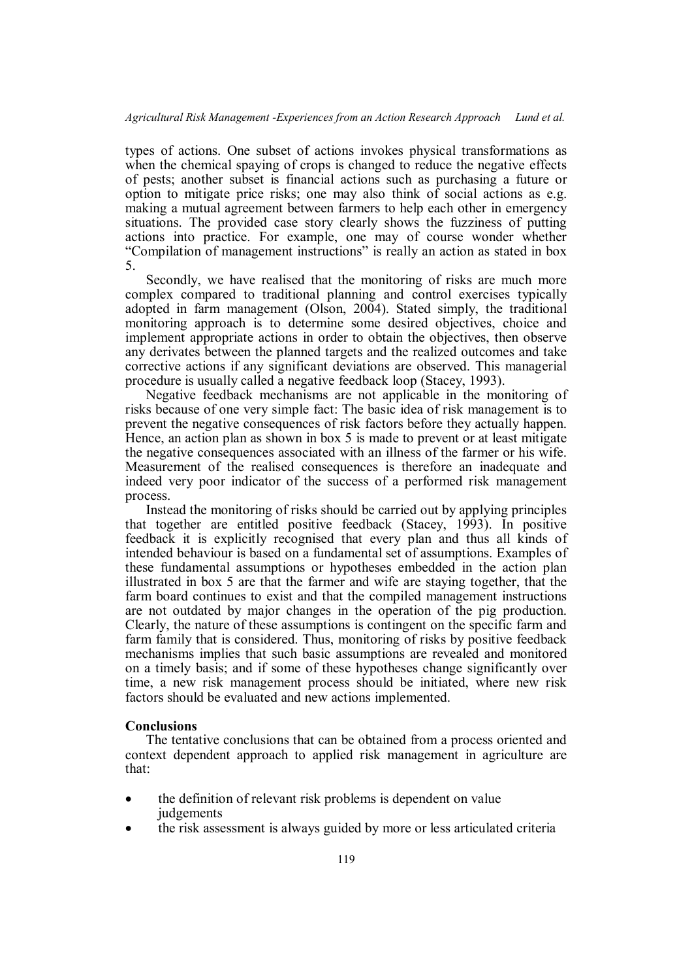types of actions. One subset of actions invokes physical transformations as when the chemical spaying of crops is changed to reduce the negative effects of pests; another subset is financial actions such as purchasing a future or option to mitigate price risks; one may also think of social actions as e.g. making a mutual agreement between farmers to help each other in emergency situations. The provided case story clearly shows the fuzziness of putting actions into practice. For example, one may of course wonder whether "Compilation of management instructions" is really an action as stated in box 5.

Secondly, we have realised that the monitoring of risks are much more complex compared to traditional planning and control exercises typically adopted in farm management (Olson, 2004). Stated simply, the traditional monitoring approach is to determine some desired objectives, choice and implement appropriate actions in order to obtain the objectives, then observe any derivates between the planned targets and the realized outcomes and take corrective actions if any significant deviations are observed. This managerial procedure is usually called a negative feedback loop (Stacey, 1993).

Negative feedback mechanisms are not applicable in the monitoring of risks because of one very simple fact: The basic idea of risk management is to prevent the negative consequences of risk factors before they actually happen. Hence, an action plan as shown in box 5 is made to prevent or at least mitigate the negative consequences associated with an illness of the farmer or his wife. Measurement of the realised consequences is therefore an inadequate and indeed very poor indicator of the success of a performed risk management process.

Instead the monitoring of risks should be carried out by applying principles that together are entitled positive feedback (Stacey, 1993). In positive feedback it is explicitly recognised that every plan and thus all kinds of intended behaviour is based on a fundamental set of assumptions. Examples of these fundamental assumptions or hypotheses embedded in the action plan illustrated in box 5 are that the farmer and wife are staying together, that the farm board continues to exist and that the compiled management instructions are not outdated by major changes in the operation of the pig production. Clearly, the nature of these assumptions is contingent on the specific farm and farm family that is considered. Thus, monitoring of risks by positive feedback mechanisms implies that such basic assumptions are revealed and monitored on a timely basis; and if some of these hypotheses change significantly over time, a new risk management process should be initiated, where new risk factors should be evaluated and new actions implemented.

### **Conclusions**

The tentative conclusions that can be obtained from a process oriented and context dependent approach to applied risk management in agriculture are that:

- the definition of relevant risk problems is dependent on value judgements
- the risk assessment is always guided by more or less articulated criteria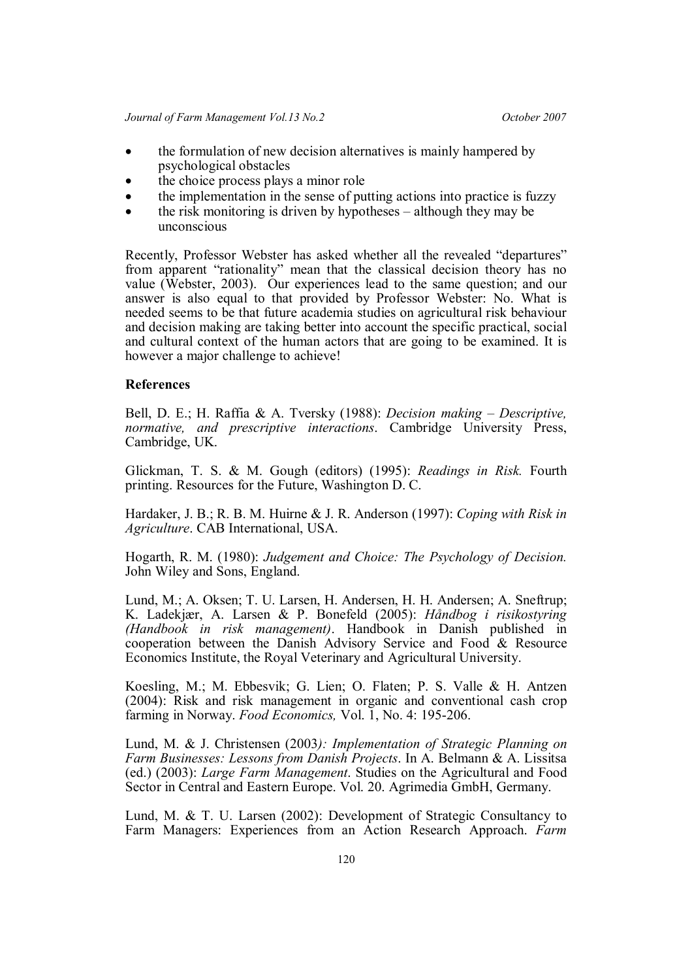- the formulation of new decision alternatives is mainly hampered by psychological obstacles
- the choice process plays a minor role
- the implementation in the sense of putting actions into practice is fuzzy
- the risk monitoring is driven by hypotheses although they may be unconscious

Recently, Professor Webster has asked whether all the revealed "departures" from apparent "rationality" mean that the classical decision theory has no value (Webster, 2003). Our experiences lead to the same question; and our answer is also equal to that provided by Professor Webster: No. What is needed seems to be that future academia studies on agricultural risk behaviour and decision making are taking better into account the specific practical, social and cultural context of the human actors that are going to be examined. It is however a major challenge to achieve!

### **References**

Bell, D. E.; H. Raffia & A. Tversky (1988): *Decision making – Descriptive, normative, and prescriptive interactions*. Cambridge University Press, Cambridge, UK.

Glickman, T. S. & M. Gough (editors) (1995): *Readings in Risk.* Fourth printing. Resources for the Future, Washington D. C.

Hardaker, J. B.; R. B. M. Huirne & J. R. Anderson (1997): *Coping with Risk in Agriculture*. CAB International, USA.

Hogarth, R. M. (1980): *Judgement and Choice: The Psychology of Decision.* John Wiley and Sons, England.

Lund, M.; A. Oksen; T. U. Larsen, H. Andersen, H. H. Andersen; A. Sneftrup; K. Ladekjær, A. Larsen & P. Bonefeld (2005): *Håndbog i risikostyring (Handbook in risk management)*. Handbook in Danish published in cooperation between the Danish Advisory Service and Food & Resource Economics Institute, the Royal Veterinary and Agricultural University.

Koesling, M.; M. Ebbesvik; G. Lien; O. Flaten; P. S. Valle & H. Antzen (2004): Risk and risk management in organic and conventional cash crop farming in Norway. *Food Economics,* Vol. 1, No. 4: 195-206.

Lund, M. & J. Christensen (2003*): Implementation of Strategic Planning on Farm Businesses: Lessons from Danish Projects*. In A. Belmann & A. Lissitsa (ed.) (2003): *Large Farm Management*. Studies on the Agricultural and Food Sector in Central and Eastern Europe. Vol. 20. Agrimedia GmbH, Germany.

Lund, M. & T. U. Larsen (2002): Development of Strategic Consultancy to Farm Managers: Experiences from an Action Research Approach. *Farm*